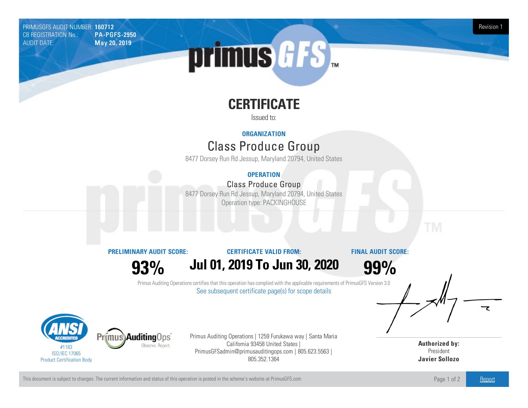PRIMUSGFS AUDIT NUMBER: 160712 Revision 1<br>CB REGISTRATION No.: PA-PGFS-2950 CB REGISTRATION No.: AUDIT DATE: **May 20, 2019** 

# primus *GFS*

# **CERTIFICATE**

Issued to:

## **ORGANIZATION**

# Class Produce Group

8477 Dorsey Run Rd Jessup, Maryland 20794, United States

### **OPERATION**

## Class Produce Group

8477 Dorsey Run Rd Jessup, Maryland 20794, United States Operation type: PACKINGHOUSE

**PRELIMINARY AUDIT SCORE:**

#### **CERTIFICATE VALID FROM:**

**FINAL AUDIT SCORE:**

**93%**

**Jul01, 2019 To Jun 30, 2020**

**99%**

Primus Auditing Operations certifies that this operation has complied with the applicable requirements of PrimusGFS Version 3.0 See subsequent certificate page(s) for scope details



Primus Auditing Operations | 1259 Furukawa way | Santa Maria California 93458 United States | PrimusGFSadmin@primusauditingops.com | 805.623.5563 | 805.352.1364

**Authorized by:** President **Javier Sollozo**

This document is subject to changes. The current information and status of this operation is posted in the scheme's website at PrimusGFS.com Page 1 of 2 [Report](https://secure.azzule.com/PGFSDocuments/PGFS_AuditReport160712_7685_1_EN.pdf)